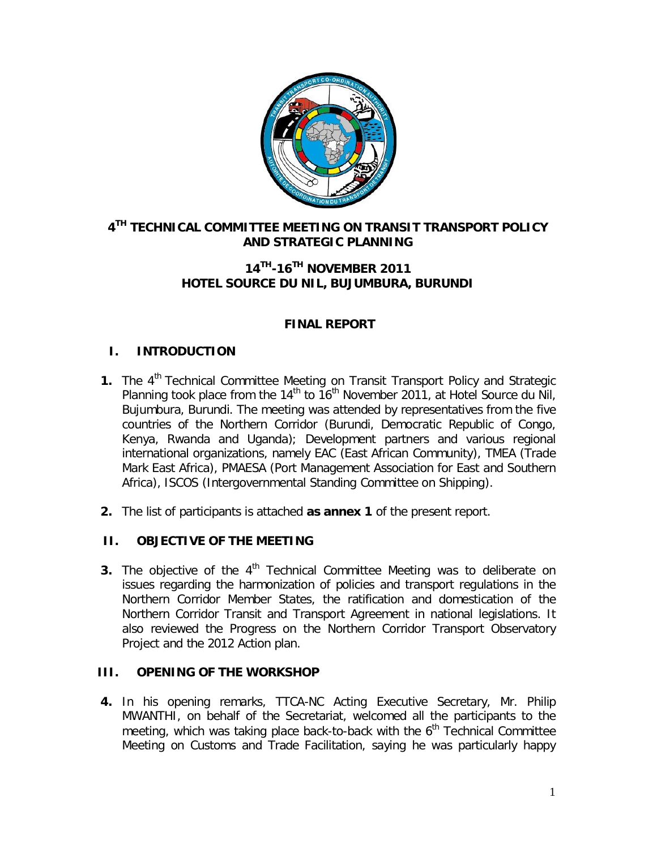

## **4 TH TECHNICAL COMMITTEE MEETING ON TRANSIT TRANSPORT POLICY AND STRATEGIC PLANNING**

## **14TH -16TH NOVEMBER 2011 HOTEL SOURCE DU NIL, BUJUMBURA, BURUNDI**

## **FINAL REPORT**

## **I. INTRODUCTION**

- **1.** The 4<sup>th</sup> Technical Committee Meeting on Transit Transport Policy and Strategic Planning took place from the 14<sup>th</sup> to  $16<sup>th</sup>$  November 2011, at Hotel Source du Nil, Bujumbura, Burundi. The meeting was attended by representatives from the five countries of the Northern Corridor (Burundi, Democratic Republic of Congo, Kenya, Rwanda and Uganda); Development partners and various regional international organizations, namely EAC (East African Community), TMEA (Trade Mark East Africa), PMAESA (Port Management Association for East and Southern Africa), ISCOS (Intergovernmental Standing Committee on Shipping).
- **2.** The list of participants is attached **as annex 1** of the present report.

#### **II. OBJECTIVE OF THE MEETING**

**3.** The objective of the 4<sup>th</sup> Technical Committee Meeting was to deliberate on issues regarding the harmonization of policies and transport regulations in the Northern Corridor Member States, the ratification and domestication of the Northern Corridor Transit and Transport Agreement in national legislations. It also reviewed the Progress on the Northern Corridor Transport Observatory Project and the 2012 Action plan.

## **III. OPENING OF THE WORKSHOP**

**4.** In his opening remarks, TTCA-NC Acting Executive Secretary, Mr. Philip MWANTHI, on behalf of the Secretariat, welcomed all the participants to the meeting, which was taking place back-to-back with the  $6<sup>th</sup>$  Technical Committee Meeting on Customs and Trade Facilitation, saying he was particularly happy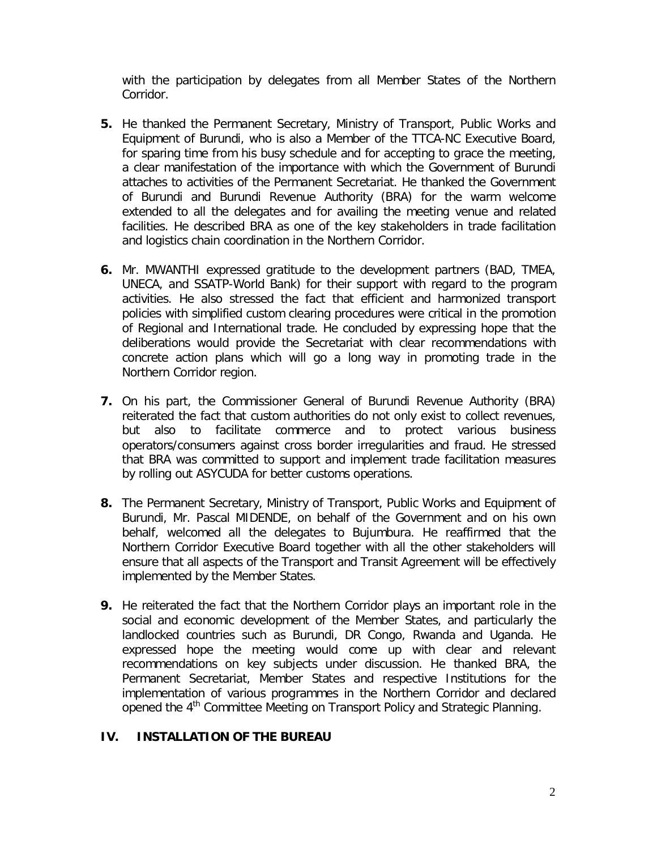with the participation by delegates from all Member States of the Northern Corridor.

- **5.** He thanked the Permanent Secretary, Ministry of Transport, Public Works and Equipment of Burundi, who is also a Member of the TTCA-NC Executive Board, for sparing time from his busy schedule and for accepting to grace the meeting, a clear manifestation of the importance with which the Government of Burundi attaches to activities of the Permanent Secretariat. He thanked the Government of Burundi and Burundi Revenue Authority (BRA) for the warm welcome extended to all the delegates and for availing the meeting venue and related facilities. He described BRA as one of the key stakeholders in trade facilitation and logistics chain coordination in the Northern Corridor.
- **6.** Mr. MWANTHI expressed gratitude to the development partners (BAD, TMEA, UNECA, and SSATP-World Bank) for their support with regard to the program activities. He also stressed the fact that efficient and harmonized transport policies with simplified custom clearing procedures were critical in the promotion of Regional and International trade. He concluded by expressing hope that the deliberations would provide the Secretariat with clear recommendations with concrete action plans which will go a long way in promoting trade in the Northern Corridor region.
- **7.** On his part, the Commissioner General of Burundi Revenue Authority (BRA) reiterated the fact that custom authorities do not only exist to collect revenues, but also to facilitate commerce and to protect various business operators/consumers against cross border irregularities and fraud. He stressed that BRA was committed to support and implement trade facilitation measures by rolling out ASYCUDA for better customs operations.
- **8.** The Permanent Secretary, Ministry of Transport, Public Works and Equipment of Burundi, Mr. Pascal MIDENDE, on behalf of the Government and on his own behalf, welcomed all the delegates to Bujumbura. He reaffirmed that the Northern Corridor Executive Board together with all the other stakeholders will ensure that all aspects of the Transport and Transit Agreement will be effectively implemented by the Member States.
- **9.** He reiterated the fact that the Northern Corridor plays an important role in the social and economic development of the Member States, and particularly the landlocked countries such as Burundi, DR Congo, Rwanda and Uganda. He expressed hope the meeting would come up with clear and relevant recommendations on key subjects under discussion. He thanked BRA, the Permanent Secretariat, Member States and respective Institutions for the implementation of various programmes in the Northern Corridor and declared opened the 4<sup>th</sup> Committee Meeting on Transport Policy and Strategic Planning.

#### **IV. INSTALLATION OF THE BUREAU**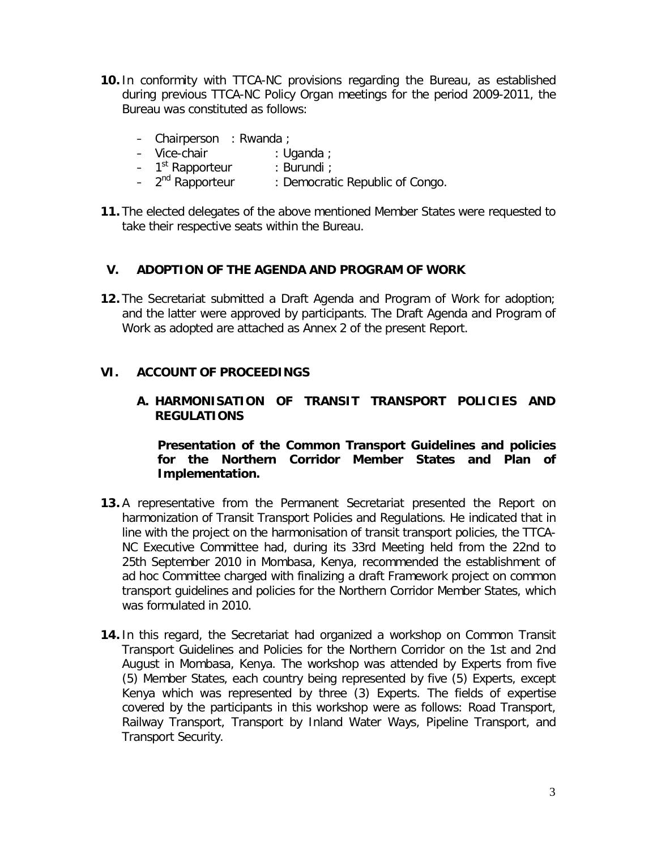- **10.** In conformity with TTCA-NC provisions regarding the Bureau, as established during previous TTCA-NC Policy Organ meetings for the period 2009-2011, the Bureau was constituted as follows:
	- Chairperson : Rwanda ;
	- Vice-chair : Uganda ;
	- 1<sup>st</sup> Rapporteur : Burundi ;
	- 2<sup>nd</sup> Rapporteur : Democratic Republic of Congo.
- **11.** The elected delegates of the above mentioned Member States were requested to take their respective seats within the Bureau.

#### **V. ADOPTION OF THE AGENDA AND PROGRAM OF WORK**

**12.** The Secretariat submitted a Draft Agenda and Program of Work for adoption; and the latter were approved by participants. The Draft Agenda and Program of Work as adopted are attached as Annex 2 of the present Report.

## **VI. ACCOUNT OF PROCEEDINGS**

#### **A. HARMONISATION OF TRANSIT TRANSPORT POLICIES AND REGULATIONS**

#### *Presentation of the Common Transport Guidelines and policies for the Northern Corridor Member States and Plan of Implementation.*

- **13.** A representative from the Permanent Secretariat presented the Report on harmonization of Transit Transport Policies and Regulations. He indicated that in line with the project on the harmonisation of transit transport policies, the TTCA-NC Executive Committee had, during its 33rd Meeting held from the 22nd to 25th September 2010 in Mombasa, Kenya, recommended the establishment of ad hoc Committee charged with finalizing a draft Framework project on common transport guidelines and policies for the Northern Corridor Member States, which was formulated in 2010.
- **14.** In this regard, the Secretariat had organized a workshop on Common Transit Transport Guidelines and Policies for the Northern Corridor on the 1st and 2nd August in Mombasa, Kenya. The workshop was attended by Experts from five (5) Member States, each country being represented by five (5) Experts, except Kenya which was represented by three (3) Experts. The fields of expertise covered by the participants in this workshop were as follows: Road Transport, Railway Transport, Transport by Inland Water Ways, Pipeline Transport, and Transport Security.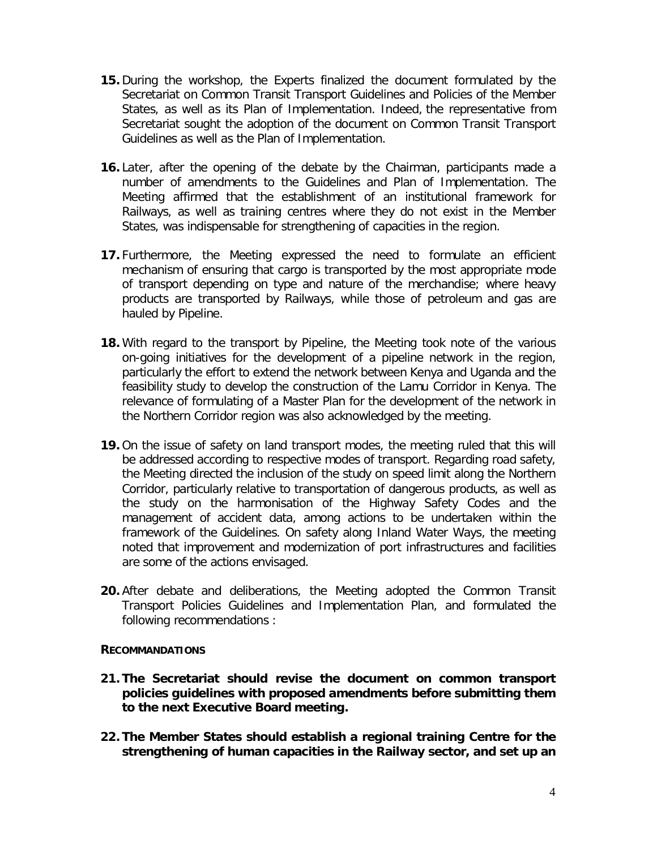- **15.** During the workshop, the Experts finalized the document formulated by the Secretariat on Common Transit Transport Guidelines and Policies of the Member States, as well as its Plan of Implementation. Indeed, the representative from Secretariat sought the adoption of the document on Common Transit Transport Guidelines as well as the Plan of Implementation.
- **16.** Later, after the opening of the debate by the Chairman, participants made a number of amendments to the Guidelines and Plan of Implementation. The Meeting affirmed that the establishment of an institutional framework for Railways, as well as training centres where they do not exist in the Member States, was indispensable for strengthening of capacities in the region.
- **17.** Furthermore, the Meeting expressed the need to formulate an efficient mechanism of ensuring that cargo is transported by the most appropriate mode of transport depending on type and nature of the merchandise; where heavy products are transported by Railways, while those of petroleum and gas are hauled by Pipeline.
- **18.** With regard to the transport by Pipeline, the Meeting took note of the various on-going initiatives for the development of a pipeline network in the region, particularly the effort to extend the network between Kenya and Uganda and the feasibility study to develop the construction of the Lamu Corridor in Kenya. The relevance of formulating of a Master Plan for the development of the network in the Northern Corridor region was also acknowledged by the meeting.
- **19.** On the issue of safety on land transport modes, the meeting ruled that this will be addressed according to respective modes of transport. Regarding road safety, the Meeting directed the inclusion of the study on speed limit along the Northern Corridor, particularly relative to transportation of dangerous products, as well as the study on the harmonisation of the Highway Safety Codes and the management of accident data, among actions to be undertaken within the framework of the Guidelines. On safety along Inland Water Ways, the meeting noted that improvement and modernization of port infrastructures and facilities are some of the actions envisaged.
- **20.** After debate and deliberations, the Meeting adopted the Common Transit Transport Policies Guidelines and Implementation Plan, and formulated the following recommendations :

#### **RECOMMANDATIONS**

- **21. The Secretariat should revise the document on common transport policies guidelines with proposed amendments before submitting them to the next Executive Board meeting.**
- **22. The Member States should establish a regional training Centre for the strengthening of human capacities in the Railway sector, and set up an**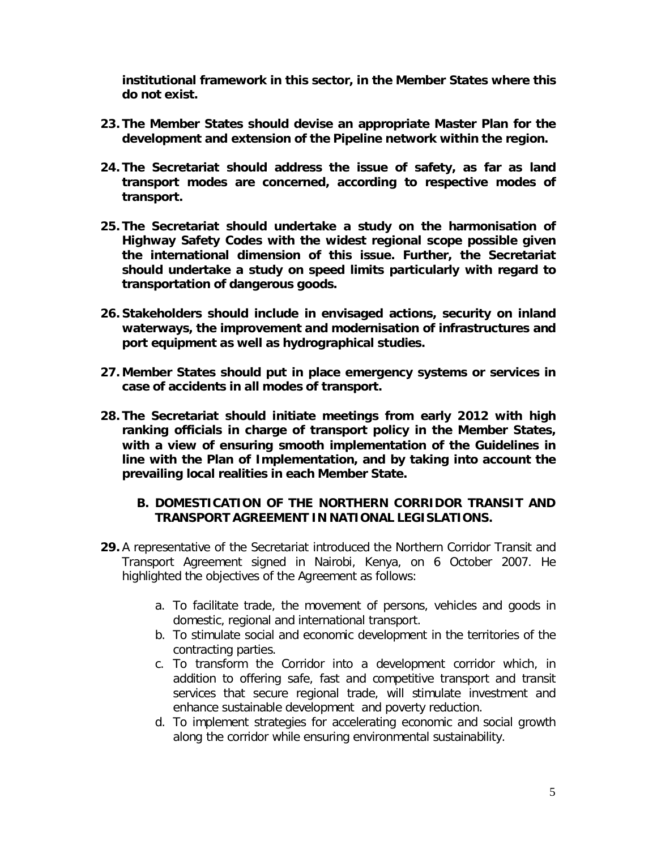**institutional framework in this sector, in the Member States where this do not exist.**

- **23. The Member States should devise an appropriate Master Plan for the development and extension of the Pipeline network within the region.**
- **24. The Secretariat should address the issue of safety, as far as land transport modes are concerned, according to respective modes of transport.**
- **25. The Secretariat should undertake a study on the harmonisation of Highway Safety Codes with the widest regional scope possible given the international dimension of this issue. Further, the Secretariat should undertake a study on speed limits particularly with regard to transportation of dangerous goods.**
- **26. Stakeholders should include in envisaged actions, security on inland waterways, the improvement and modernisation of infrastructures and port equipment as well as hydrographical studies.**
- **27. Member States should put in place emergency systems or services in case of accidents in all modes of transport.**
- **28. The Secretariat should initiate meetings from early 2012 with high ranking officials in charge of transport policy in the Member States, with a view of ensuring smooth implementation of the Guidelines in line with the Plan of Implementation, and by taking into account the prevailing local realities in each Member State.**

## **B. DOMESTICATION OF THE NORTHERN CORRIDOR TRANSIT AND TRANSPORT AGREEMENT IN NATIONAL LEGISLATIONS.**

- **29.** A representative of the Secretariat introduced the Northern Corridor Transit and Transport Agreement signed in Nairobi, Kenya, on 6 October 2007. He highlighted the objectives of the Agreement as follows:
	- a. To facilitate trade, the movement of persons, vehicles and goods in domestic, regional and international transport.
	- b. To stimulate social and economic development in the territories of the contracting parties.
	- c. To transform the Corridor into a development corridor which, in addition to offering safe, fast and competitive transport and transit services that secure regional trade, will stimulate investment and enhance sustainable development and poverty reduction.
	- d. To implement strategies for accelerating economic and social growth along the corridor while ensuring environmental sustainability.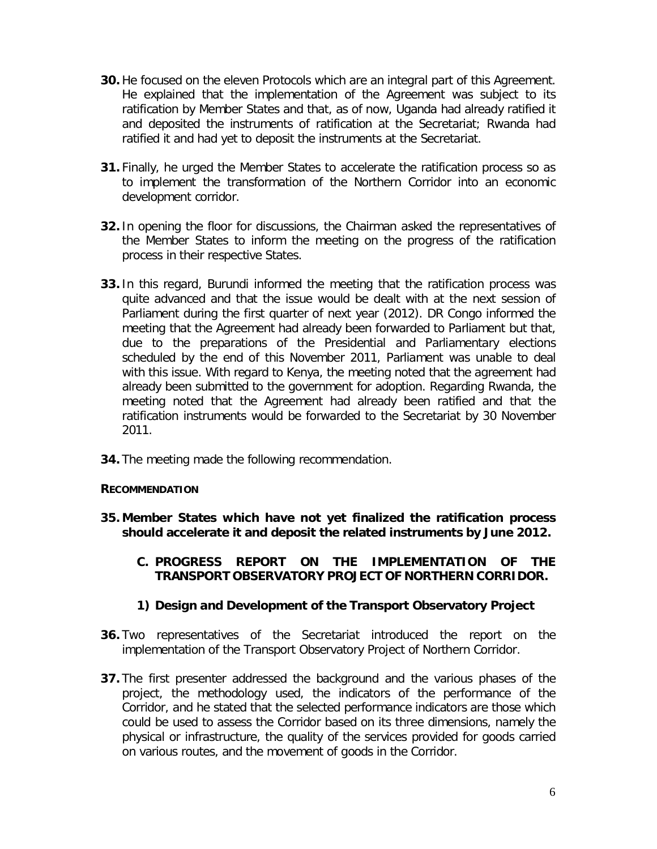- **30.** He focused on the eleven Protocols which are an integral part of this Agreement. He explained that the implementation of the Agreement was subject to its ratification by Member States and that, as of now, Uganda had already ratified it and deposited the instruments of ratification at the Secretariat; Rwanda had ratified it and had yet to deposit the instruments at the Secretariat.
- **31.** Finally, he urged the Member States to accelerate the ratification process so as to implement the transformation of the Northern Corridor into an economic development corridor.
- **32.** In opening the floor for discussions, the Chairman asked the representatives of the Member States to inform the meeting on the progress of the ratification process in their respective States.
- **33.** In this regard, Burundi informed the meeting that the ratification process was quite advanced and that the issue would be dealt with at the next session of Parliament during the first quarter of next year (2012). DR Congo informed the meeting that the Agreement had already been forwarded to Parliament but that, due to the preparations of the Presidential and Parliamentary elections scheduled by the end of this November 2011, Parliament was unable to deal with this issue. With regard to Kenya, the meeting noted that the agreement had already been submitted to the government for adoption. Regarding Rwanda, the meeting noted that the Agreement had already been ratified and that the ratification instruments would be forwarded to the Secretariat by 30 November 2011.
- **34.** The meeting made the following recommendation.

#### **RECOMMENDATION**

- **35. Member States which have not yet finalized the ratification process should accelerate it and deposit the related instruments by June 2012.**
	- **C. PROGRESS REPORT ON THE IMPLEMENTATION OF THE TRANSPORT OBSERVATORY PROJECT OF NORTHERN CORRIDOR.**
	- *1) Design and Development of the Transport Observatory Project*
- **36.** Two representatives of the Secretariat introduced the report on the implementation of the Transport Observatory Project of Northern Corridor.
- **37.** The first presenter addressed the background and the various phases of the project, the methodology used, the indicators of the performance of the Corridor, and he stated that the selected performance indicators are those which could be used to assess the Corridor based on its three dimensions, namely the physical or infrastructure, the quality of the services provided for goods carried on various routes, and the movement of goods in the Corridor.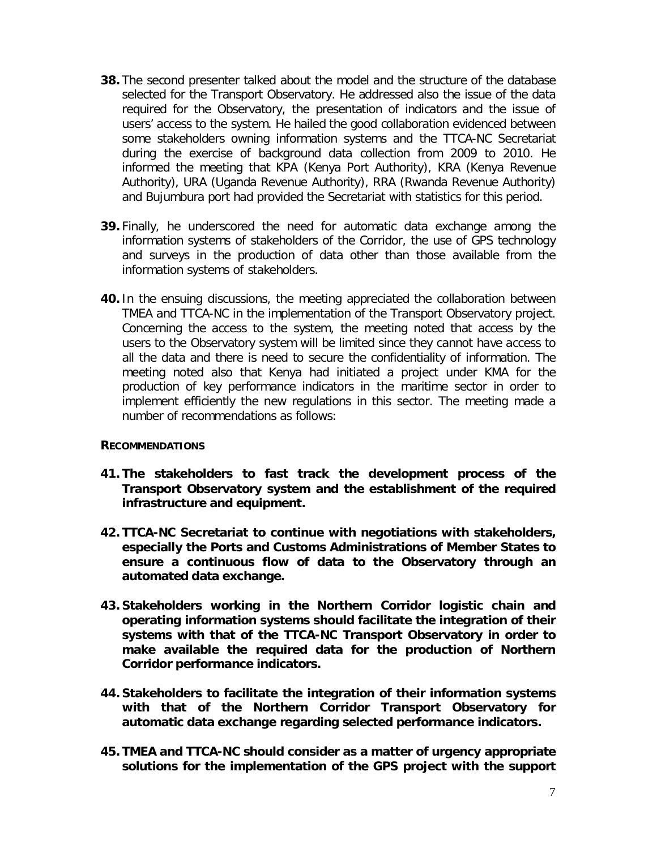- **38.** The second presenter talked about the model and the structure of the database selected for the Transport Observatory. He addressed also the issue of the data required for the Observatory, the presentation of indicators and the issue of users' access to the system. He hailed the good collaboration evidenced between some stakeholders owning information systems and the TTCA-NC Secretariat during the exercise of background data collection from 2009 to 2010. He informed the meeting that KPA (Kenya Port Authority), KRA (Kenya Revenue Authority), URA (Uganda Revenue Authority), RRA (Rwanda Revenue Authority) and Bujumbura port had provided the Secretariat with statistics for this period.
- **39.** Finally, he underscored the need for automatic data exchange among the information systems of stakeholders of the Corridor, the use of GPS technology and surveys in the production of data other than those available from the information systems of stakeholders.
- **40.** In the ensuing discussions, the meeting appreciated the collaboration between TMEA and TTCA-NC in the implementation of the Transport Observatory project. Concerning the access to the system, the meeting noted that access by the users to the Observatory system will be limited since they cannot have access to all the data and there is need to secure the confidentiality of information. The meeting noted also that Kenya had initiated a project under KMA for the production of key performance indicators in the maritime sector in order to implement efficiently the new regulations in this sector. The meeting made a number of recommendations as follows:

#### **RECOMMENDATIONS**

- **41. The stakeholders to fast track the development process of the Transport Observatory system and the establishment of the required infrastructure and equipment.**
- **42. TTCA-NC Secretariat to continue with negotiations with stakeholders, especially the Ports and Customs Administrations of Member States to ensure a continuous flow of data to the Observatory through an automated data exchange.**
- **43. Stakeholders working in the Northern Corridor logistic chain and operating information systems should facilitate the integration of their systems with that of the TTCA-NC Transport Observatory in order to make available the required data for the production of Northern Corridor performance indicators.**
- **44. Stakeholders to facilitate the integration of their information systems with that of the Northern Corridor Transport Observatory for automatic data exchange regarding selected performance indicators.**
- **45. TMEA and TTCA-NC should consider as a matter of urgency appropriate solutions for the implementation of the GPS project with the support**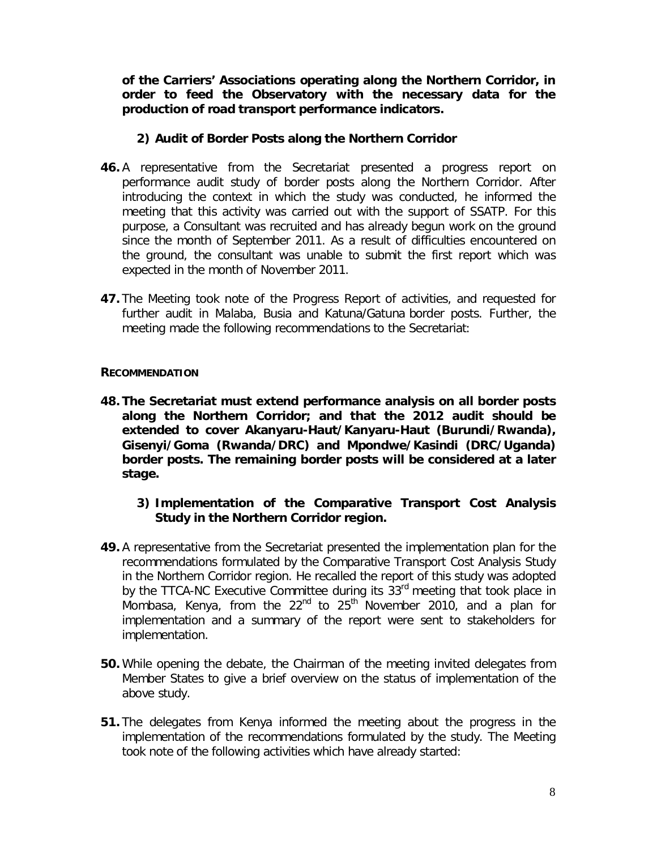**of the Carriers' Associations operating along the Northern Corridor, in order to feed the Observatory with the necessary data for the production of road transport performance indicators.**

### *2) Audit of Border Posts along the Northern Corridor*

- **46.** A representative from the Secretariat presented a progress report on performance audit study of border posts along the Northern Corridor. After introducing the context in which the study was conducted, he informed the meeting that this activity was carried out with the support of SSATP. For this purpose, a Consultant was recruited and has already begun work on the ground since the month of September 2011. As a result of difficulties encountered on the ground, the consultant was unable to submit the first report which was expected in the month of November 2011.
- **47.** The Meeting took note of the Progress Report of activities, and requested for further audit in Malaba, Busia and Katuna/Gatuna border posts. Further, the meeting made the following recommendations to the Secretariat:

#### **RECOMMENDATION**

**48. The Secretariat must extend performance analysis on all border posts along the Northern Corridor; and that the 2012 audit should be extended to cover Akanyaru-Haut/Kanyaru-Haut (Burundi/Rwanda), Gisenyi/Goma (Rwanda/DRC) and Mpondwe/Kasindi (DRC/Uganda) border posts. The remaining border posts will be considered at a later stage.**

## *3) Implementation of the Comparative Transport Cost Analysis Study in the Northern Corridor region.*

- **49.** A representative from the Secretariat presented the implementation plan for the recommendations formulated by the Comparative Transport Cost Analysis Study in the Northern Corridor region. He recalled the report of this study was adopted by the TTCA-NC Executive Committee during its 33<sup>rd</sup> meeting that took place in Mombasa, Kenya, from the  $22<sup>nd</sup>$  to  $25<sup>th</sup>$  November 2010, and a plan for implementation and a summary of the report were sent to stakeholders for implementation.
- **50.** While opening the debate, the Chairman of the meeting invited delegates from Member States to give a brief overview on the status of implementation of the above study.
- **51.** The delegates from Kenya informed the meeting about the progress in the implementation of the recommendations formulated by the study. The Meeting took note of the following activities which have already started: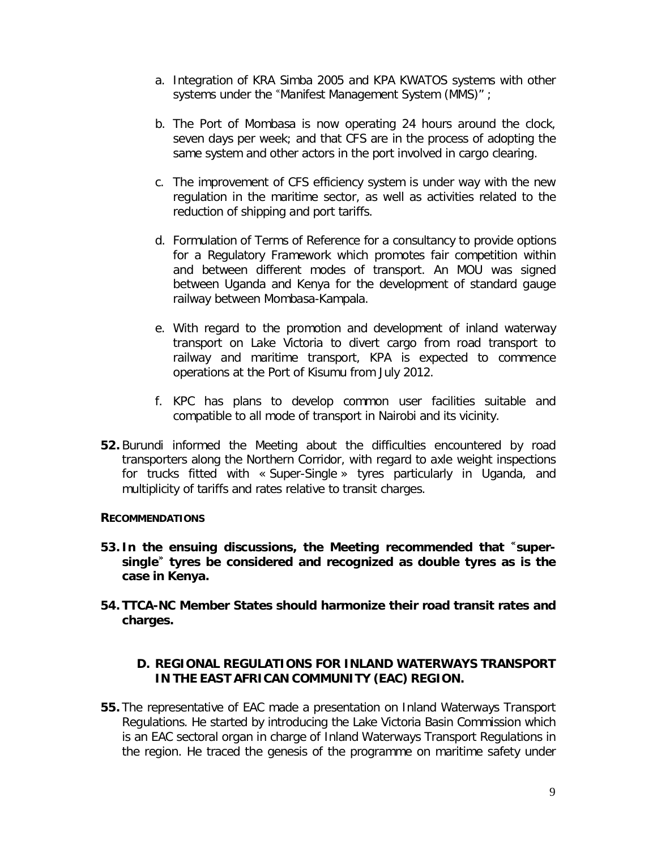- a. Integration of KRA Simba 2005 and KPA KWATOS systems with other systems under the "Manifest Management System (MMS)" ;
- b. The Port of Mombasa is now operating 24 hours around the clock, seven days per week; and that CFS are in the process of adopting the same system and other actors in the port involved in cargo clearing.
- c. The improvement of CFS efficiency system is under way with the new regulation in the maritime sector, as well as activities related to the reduction of shipping and port tariffs.
- d. Formulation of Terms of Reference for a consultancy to provide options for a Regulatory Framework which promotes fair competition within and between different modes of transport. An MOU was signed between Uganda and Kenya for the development of standard gauge railway between Mombasa-Kampala.
- e. With regard to the promotion and development of inland waterway transport on Lake Victoria to divert cargo from road transport to railway and maritime transport, KPA is expected to commence operations at the Port of Kisumu from July 2012.
- f. KPC has plans to develop common user facilities suitable and compatible to all mode of transport in Nairobi and its vicinity.
- **52.** Burundi informed the Meeting about the difficulties encountered by road transporters along the Northern Corridor, with regard to axle weight inspections for trucks fitted with « Super-Single » tyres particularly in Uganda, and multiplicity of tariffs and rates relative to transit charges.

#### **RECOMMENDATIONS**

- **53. In the ensuing discussions, the Meeting recommended that « supersingle» tyres be considered and recognized as double tyres as is the case in Kenya.**
- **54. TTCA-NC Member States should harmonize their road transit rates and charges.**

#### **D. REGIONAL REGULATIONS FOR INLAND WATERWAYS TRANSPORT IN THE EAST AFRICAN COMMUNITY (EAC) REGION.**

**55.** The representative of EAC made a presentation on Inland Waterways Transport Regulations. He started by introducing the Lake Victoria Basin Commission which is an EAC sectoral organ in charge of Inland Waterways Transport Regulations in the region. He traced the genesis of the programme on maritime safety under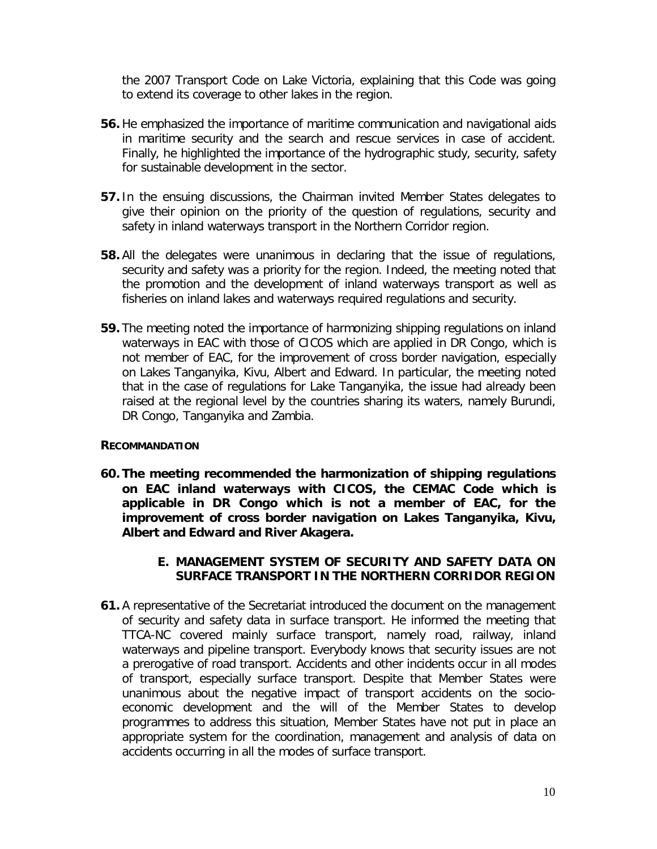the 2007 Transport Code on Lake Victoria, explaining that this Code was going to extend its coverage to other lakes in the region.

- **56.** He emphasized the importance of maritime communication and navigational aids in maritime security and the search and rescue services in case of accident. Finally, he highlighted the importance of the hydrographic study, security, safety for sustainable development in the sector.
- **57.** In the ensuing discussions, the Chairman invited Member States delegates to give their opinion on the priority of the question of regulations, security and safety in inland waterways transport in the Northern Corridor region.
- **58.** All the delegates were unanimous in declaring that the issue of regulations, security and safety was a priority for the region. Indeed, the meeting noted that the promotion and the development of inland waterways transport as well as fisheries on inland lakes and waterways required regulations and security.
- **59.** The meeting noted the importance of harmonizing shipping regulations on inland waterways in EAC with those of CICOS which are applied in DR Congo, which is not member of EAC, for the improvement of cross border navigation, especially on Lakes Tanganyika, Kivu, Albert and Edward. In particular, the meeting noted that in the case of regulations for Lake Tanganyika, the issue had already been raised at the regional level by the countries sharing its waters, namely Burundi, DR Congo, Tanganyika and Zambia.

#### **RECOMMANDATION**

**60. The meeting recommended the harmonization of shipping regulations on EAC inland waterways with CICOS, the CEMAC Code which is applicable in DR Congo which is not a member of EAC, for the improvement of cross border navigation on Lakes Tanganyika, Kivu, Albert and Edward and River Akagera.**

#### **E. MANAGEMENT SYSTEM OF SECURITY AND SAFETY DATA ON SURFACE TRANSPORT IN THE NORTHERN CORRIDOR REGION**

**61.** A representative of the Secretariat introduced the document on the management of security and safety data in surface transport. He informed the meeting that TTCA-NC covered mainly surface transport, namely road, railway, inland waterways and pipeline transport. Everybody knows that security issues are not a prerogative of road transport. Accidents and other incidents occur in all modes of transport, especially surface transport. Despite that Member States were unanimous about the negative impact of transport accidents on the socioeconomic development and the will of the Member States to develop programmes to address this situation, Member States have not put in place an appropriate system for the coordination, management and analysis of data on accidents occurring in all the modes of surface transport.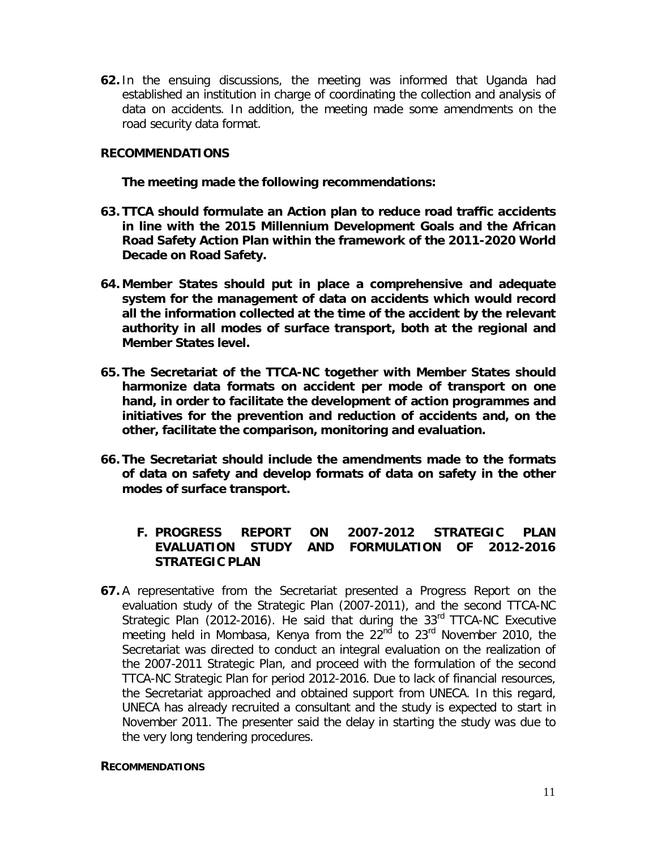**62.** In the ensuing discussions, the meeting was informed that Uganda had established an institution in charge of coordinating the collection and analysis of data on accidents. In addition, the meeting made some amendments on the road security data format.

#### **RECOMMENDATIONS**

 **The meeting made the following recommendations:**

- **63. TTCA should formulate an Action plan to reduce road traffic accidents in line with the 2015 Millennium Development Goals and the African Road Safety Action Plan within the framework of the 2011-2020 World Decade on Road Safety.**
- **64. Member States should put in place a comprehensive and adequate system for the management of data on accidents which would record all the information collected at the time of the accident by the relevant authority in all modes of surface transport, both at the regional and Member States level.**
- **65. The Secretariat of the TTCA-NC together with Member States should harmonize data formats on accident per mode of transport on one hand, in order to facilitate the development of action programmes and initiatives for the prevention and reduction of accidents and, on the other, facilitate the comparison, monitoring and evaluation.**
- **66. The Secretariat should include the amendments made to the formats of data on safety and develop formats of data on safety in the other modes of surface transport.**

#### **F. PROGRESS REPORT ON 2007-2012 STRATEGIC PLAN EVALUATION STUDY AND FORMULATION OF 2012-2016 STRATEGIC PLAN**

**67.** A representative from the Secretariat presented a Progress Report on the evaluation study of the Strategic Plan (2007-2011), and the second TTCA-NC Strategic Plan (2012-2016). He said that during the 33<sup>rd</sup> TTCA-NC Executive meeting held in Mombasa, Kenya from the  $22<sup>nd</sup>$  to  $23<sup>rd</sup>$  November 2010, the Secretariat was directed to conduct an integral evaluation on the realization of the 2007-2011 Strategic Plan, and proceed with the formulation of the second TTCA-NC Strategic Plan for period 2012-2016. Due to lack of financial resources, the Secretariat approached and obtained support from UNECA. In this regard, UNECA has already recruited a consultant and the study is expected to start in November 2011. The presenter said the delay in starting the study was due to the very long tendering procedures.

#### **RECOMMENDATIONS**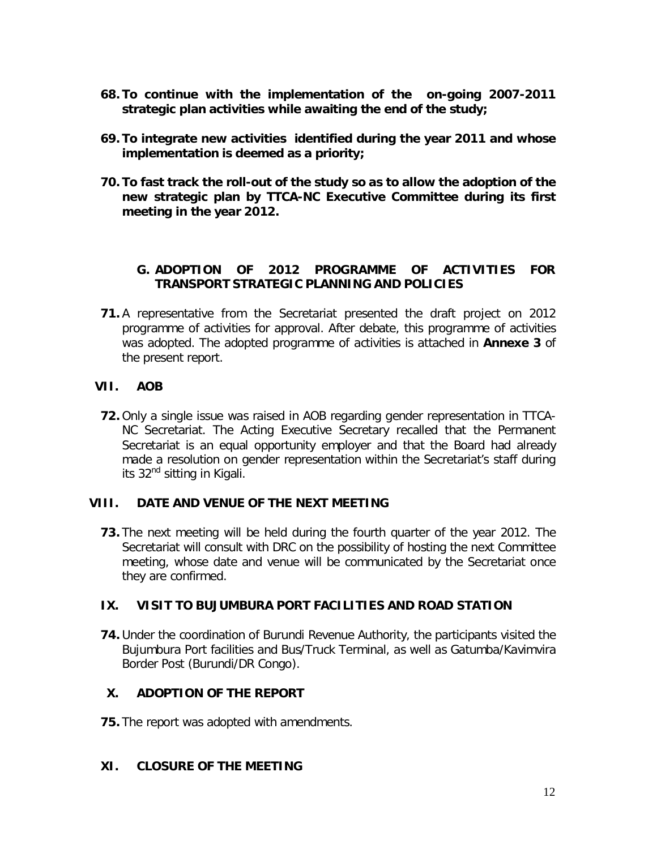- **68. To continue with the implementation of the on-going 2007-2011 strategic plan activities while awaiting the end of the study;**
- **69. To integrate new activities identified during the year 2011 and whose implementation is deemed as a priority;**
- **70. To fast track the roll-out of the study so as to allow the adoption of the new strategic plan by TTCA-NC Executive Committee during its first meeting in the year 2012.**

### **G. ADOPTION OF 2012 PROGRAMME OF ACTIVITIES FOR TRANSPORT STRATEGIC PLANNING AND POLICIES**

**71.** A representative from the Secretariat presented the draft project on 2012 programme of activities for approval. After debate, this programme of activities was adopted. The adopted programme of activities is attached in **Annexe 3** of the present report.

## **VII. AOB**

**72.** Only a single issue was raised in AOB regarding gender representation in TTCA-NC Secretariat. The Acting Executive Secretary recalled that the Permanent Secretariat is an equal opportunity employer and that the Board had already made a resolution on gender representation within the Secretariat's staff during its 32<sup>nd</sup> sitting in Kigali.

#### **VIII. DATE AND VENUE OF THE NEXT MEETING**

**73.** The next meeting will be held during the fourth quarter of the year 2012. The Secretariat will consult with DRC on the possibility of hosting the next Committee meeting, whose date and venue will be communicated by the Secretariat once they are confirmed.

#### **IX. VISIT TO BUJUMBURA PORT FACILITIES AND ROAD STATION**

**74.** Under the coordination of Burundi Revenue Authority, the participants visited the Bujumbura Port facilities and Bus/Truck Terminal, as well as Gatumba/Kavimvira Border Post (Burundi/DR Congo).

## **X. ADOPTION OF THE REPORT**

**75.** The report was adopted with amendments.

#### **XI. CLOSURE OF THE MEETING**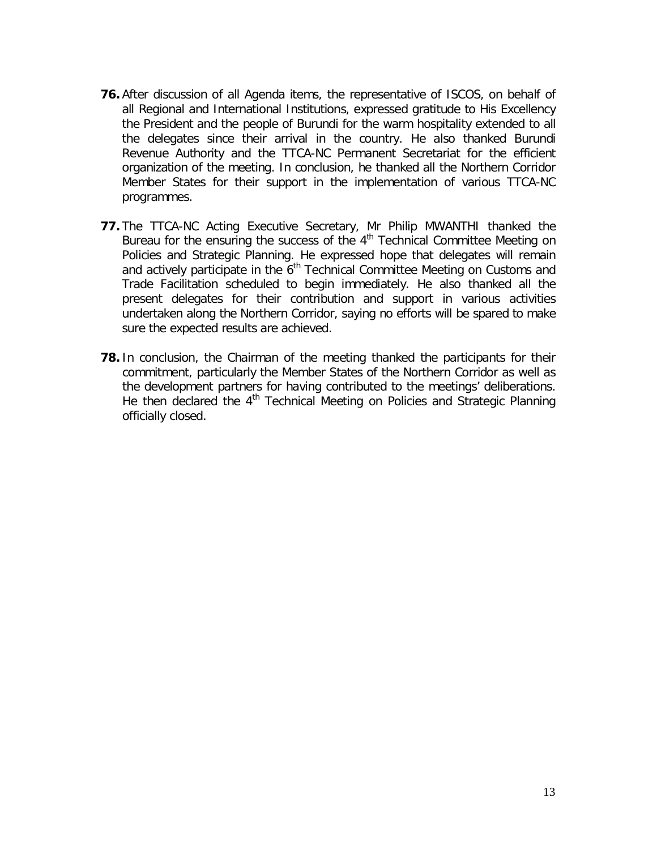- **76.** After discussion of all Agenda items, the representative of ISCOS, on behalf of all Regional and International Institutions, expressed gratitude to His Excellency the President and the people of Burundi for the warm hospitality extended to all the delegates since their arrival in the country. He also thanked Burundi Revenue Authority and the TTCA-NC Permanent Secretariat for the efficient organization of the meeting. In conclusion, he thanked all the Northern Corridor Member States for their support in the implementation of various TTCA-NC programmes.
- **77.** The TTCA-NC Acting Executive Secretary, Mr Philip MWANTHI thanked the Bureau for the ensuring the success of the 4<sup>th</sup> Technical Committee Meeting on Policies and Strategic Planning. He expressed hope that delegates will remain and actively participate in the  $\check{\mathbf{6}}^{\text{th}}$  Technical Committee Meeting on Customs and Trade Facilitation scheduled to begin immediately. He also thanked all the present delegates for their contribution and support in various activities undertaken along the Northern Corridor, saying no efforts will be spared to make sure the expected results are achieved.
- **78.** In conclusion, the Chairman of the meeting thanked the participants for their commitment, particularly the Member States of the Northern Corridor as well as the development partners for having contributed to the meetings' deliberations. He then declared the  $4<sup>th</sup>$  Technical Meeting on Policies and Strategic Planning officially closed.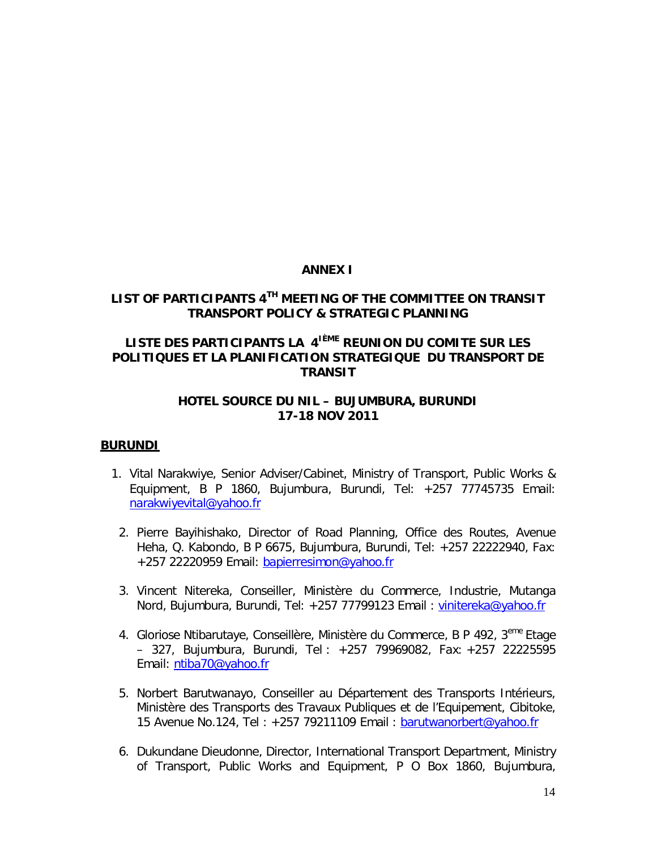#### **ANNEX I**

### **LIST OF PARTICIPANTS 4TH MEETING OF THE COMMITTEE ON TRANSIT TRANSPORT POLICY & STRATEGIC PLANNING**

## **LISTE DES PARTICIPANTS LA 4IÈME REUNION DU COMITE SUR LES POLITIQUES ET LA PLANIFICATION STRATEGIQUE DU TRANSPORT DE TRANSIT**

#### **HOTEL SOURCE DU NIL – BUJUMBURA, BURUNDI 17-18 NOV 2011**

#### **BURUNDI**

- 1. Vital Narakwiye, Senior Adviser/Cabinet, Ministry of Transport, Public Works & Equipment, B P 1860, Bujumbura, Burundi, Tel: +257 77745735 Email: narakwiyevital@yahoo.fr
	- 2. Pierre Bayihishako, Director of Road Planning, Office des Routes, Avenue Heha, Q. Kabondo, B P 6675, Bujumbura, Burundi, Tel: +257 22222940, Fax: +257 22220959 Email: bapierresimon@yahoo.fr
	- 3. Vincent Nitereka, Conseiller, Ministère du Commerce, Industrie, Mutanga Nord, Bujumbura, Burundi, Tel: +257 77799123 Email : vinitereka@yahoo.fr
	- 4. Gloriose Ntibarutaye, Conseillère, Ministère du Commerce, B P 492, 3<sup>eme</sup> Etage – 327, Bujumbura, Burundi, Tel : +257 79969082, Fax: +257 22225595 Email: ntiba70@yahoo.fr
	- 5. Norbert Barutwanayo, Conseiller au Département des Transports Intérieurs, Ministère des Transports des Travaux Publiques et de l'Equipement, Cibitoke, 15 Avenue No.124, Tel : +257 79211109 Email : barutwanorbert@yahoo.fr
	- 6. Dukundane Dieudonne, Director, International Transport Department, Ministry of Transport, Public Works and Equipment, P O Box 1860, Bujumbura,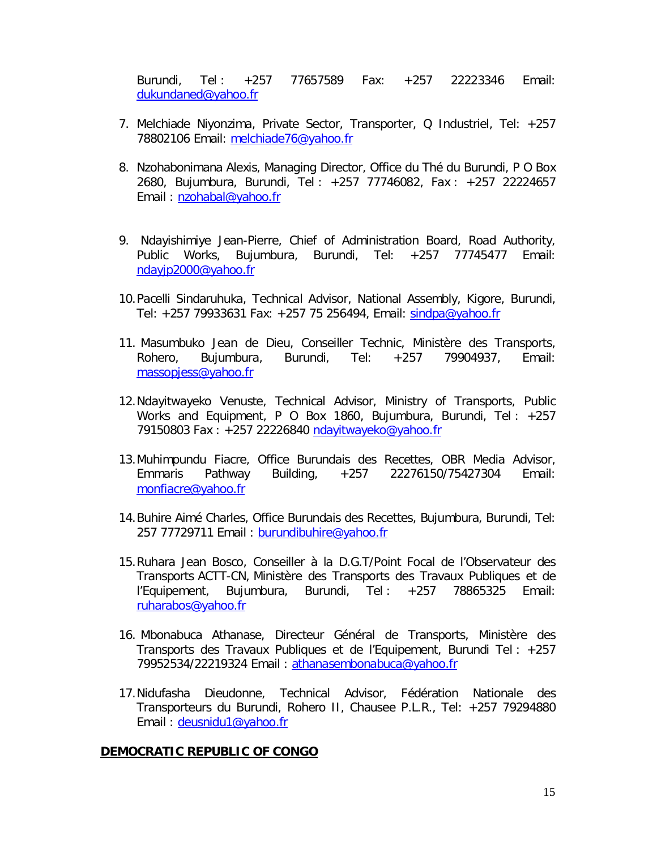Burundi, Tel : +257 77657589 Fax: +257 22223346 Email: dukundaned@yahoo.fr

- 7. Melchiade Niyonzima, Private Sector, Transporter, Q Industriel, Tel: +257 78802106 Email: melchiade76@yahoo.fr
- 8. Nzohabonimana Alexis, Managing Director, Office du Thé du Burundi, P O Box 2680, Bujumbura, Burundi, Tel : +257 77746082, Fax : +257 22224657 Email : nzohabal@yahoo.fr
- 9. Ndayishimiye Jean-Pierre, Chief of Administration Board, Road Authority, Public Works, Bujumbura, Burundi, Tel: +257 77745477 Email: ndayjp2000@yahoo.fr
- 10.Pacelli Sindaruhuka, Technical Advisor, National Assembly, Kigore, Burundi, Tel: +257 79933631 Fax: +257 75 256494, Email: sindpa@yahoo.fr
- 11. Masumbuko Jean de Dieu, Conseiller Technic, Ministère des Transports, Rohero, Bujumbura, Burundi, Tel: +257 79904937, Email: massopjess@yahoo.fr
- 12.Ndayitwayeko Venuste, Technical Advisor, Ministry of Transports, Public Works and Equipment, P O Box 1860, Bujumbura, Burundi, Tel : +257 79150803 Fax : +257 22226840 ndayitwayeko@yahoo.fr
- 13.Muhimpundu Fiacre, Office Burundais des Recettes, OBR Media Advisor, Emmaris Pathway Building, +257 22276150/75427304 Email: monfiacre@yahoo.fr
- 14.Buhire Aimé Charles, Office Burundais des Recettes, Bujumbura, Burundi, Tel: 257 77729711 Email: burundibuhire@yahoo.fr
- 15.Ruhara Jean Bosco, Conseiller à la D.G.T/Point Focal de l'Observateur des Transports ACTT-CN, Ministère des Transports des Travaux Publiques et de l'Equipement, Bujumbura, Burundi, Tel : +257 78865325 Email: ruharabos@yahoo.fr
- 16. Mbonabuca Athanase, Directeur Général de Transports, Ministère des Transports des Travaux Publiques et de l'Equipement, Burundi Tel : +257 79952534/22219324 Email : athanasembonabuca@yahoo.fr
- 17.Nidufasha Dieudonne, Technical Advisor, Fédération Nationale des Transporteurs du Burundi, Rohero II, Chausee P.L.R., Tel: +257 79294880 Email : deusnidu1@yahoo.fr

#### **DEMOCRATIC REPUBLIC OF CONGO**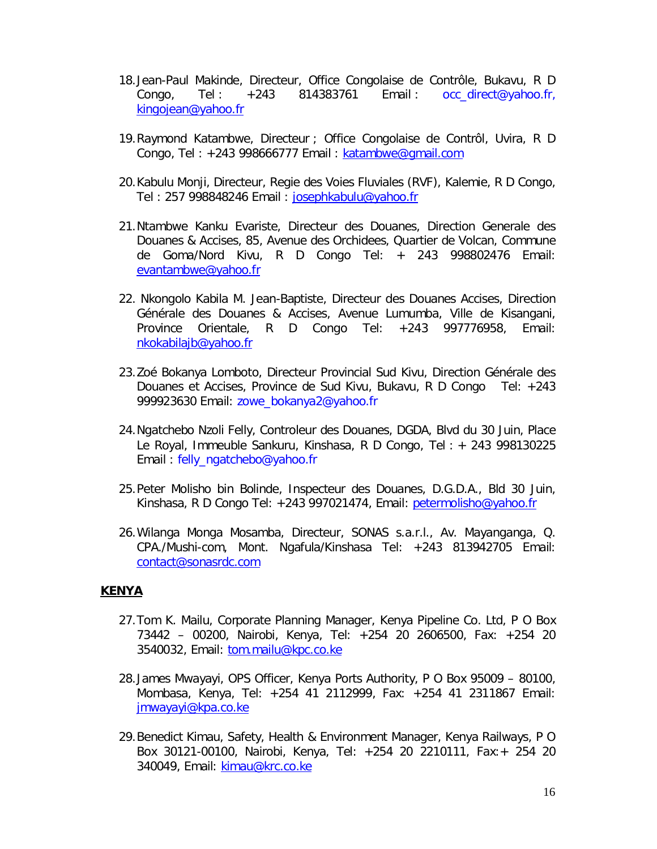- 18.Jean-Paul Makinde, Directeur, Office Congolaise de Contrôle, Bukavu, R D Congo, Tel:  $+243$  814383761 Email: occ\_direct@yahoo.fr, kingojean@yahoo.fr
- 19.Raymond Katambwe, Directeur ; Office Congolaise de Contrôl, Uvira, R D Congo, Tel : +243 998666777 Email : katambwe@gmail.com
- 20.Kabulu Monji, Directeur, Regie des Voies Fluviales (RVF), Kalemie, R D Congo, Tel : 257 998848246 Email : josephkabulu@yahoo.fr
- 21.Ntambwe Kanku Evariste, Directeur des Douanes, Direction Generale des Douanes & Accises, 85, Avenue des Orchidees, Quartier de Volcan, Commune de Goma/Nord Kivu, R D Congo Tel: + 243 998802476 Email: evantambwe@yahoo.fr
- 22. Nkongolo Kabila M. Jean-Baptiste, Directeur des Douanes Accises, Direction Générale des Douanes & Accises, Avenue Lumumba, Ville de Kisangani, Province Orientale, R D Congo Tel: +243 997776958, Email: nkokabilajb@yahoo.fr
- 23.Zoé Bokanya Lomboto, Directeur Provincial Sud Kivu, Direction Générale des Douanes et Accises, Province de Sud Kivu, Bukavu, R D Congo Tel: +243 999923630 Email: zowe\_bokanya2@yahoo.fr
- 24.Ngatchebo Nzoli Felly, Controleur des Douanes, DGDA, Blvd du 30 Juin, Place Le Royal, Immeuble Sankuru, Kinshasa, R D Congo, Tel : + 243 998130225 Email : felly\_ngatchebo@yahoo.fr
- 25.Peter Molisho bin Bolinde, Inspecteur des Douanes, D.G.D.A., Bld 30 Juin, Kinshasa, R D Congo Tel: +243 997021474, Email: petermolisho@yahoo.fr
- 26.Wilanga Monga Mosamba, Directeur, SONAS s.a.r.l., Av. Mayanganga, Q. CPA./Mushi-com, Mont. Ngafula/Kinshasa Tel: +243 813942705 Email: contact@sonasrdc.com

#### **KENYA**

- 27.Tom K. Mailu, Corporate Planning Manager, Kenya Pipeline Co. Ltd, P O Box 73442 – 00200, Nairobi, Kenya, Tel: +254 20 2606500, Fax: +254 20 3540032, Email: tom.mailu@kpc.co.ke
- 28.James Mwayayi, OPS Officer, Kenya Ports Authority, P O Box 95009 80100, Mombasa, Kenya, Tel: +254 41 2112999, Fax: +254 41 2311867 Email: jmwayayi@kpa.co.ke
- 29.Benedict Kimau, Safety, Health & Environment Manager, Kenya Railways, P O Box 30121-00100, Nairobi, Kenya, Tel: +254 20 2210111, Fax:+ 254 20 340049, Email: kimau@krc.co.ke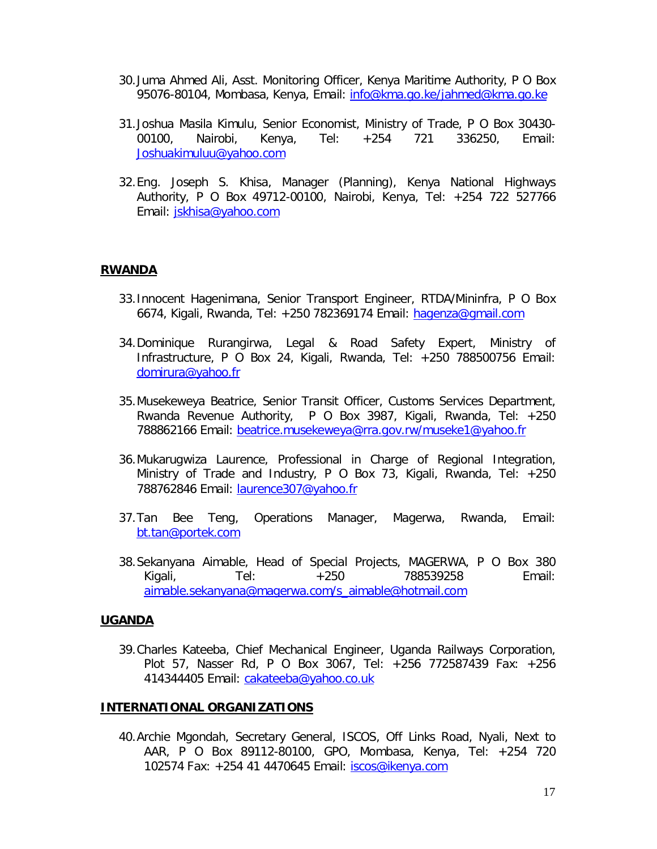- 30.Juma Ahmed Ali, Asst. Monitoring Officer, Kenya Maritime Authority, P O Box 95076-80104, Mombasa, Kenya, Email: info@kma.go.ke/jahmed@kma.go.ke
- 31.Joshua Masila Kimulu, Senior Economist, Ministry of Trade, P O Box 30430- 00100, Nairobi, Kenya, Tel: +254 721 336250, Email: Joshuakimuluu@yahoo.com
- 32.Eng. Joseph S. Khisa, Manager (Planning), Kenya National Highways Authority, P O Box 49712-00100, Nairobi, Kenya, Tel: +254 722 527766 Email: jskhisa@yahoo.com

#### **RWANDA**

- 33.Innocent Hagenimana, Senior Transport Engineer, RTDA/Mininfra, P O Box 6674, Kigali, Rwanda, Tel: +250 782369174 Email: hagenza@gmail.com
- 34.Dominique Rurangirwa, Legal & Road Safety Expert, Ministry of Infrastructure, P O Box 24, Kigali, Rwanda, Tel: +250 788500756 Email: domirura@yahoo.fr
- 35.Musekeweya Beatrice, Senior Transit Officer, Customs Services Department, Rwanda Revenue Authority, P O Box 3987, Kigali, Rwanda, Tel: +250 788862166 Email: beatrice.musekeweya@rra.gov.rw/museke1@yahoo.fr
- 36.Mukarugwiza Laurence, Professional in Charge of Regional Integration, Ministry of Trade and Industry, P O Box 73, Kigali, Rwanda, Tel: +250 788762846 Email: laurence307@yahoo.fr
- 37.Tan Bee Teng, Operations Manager, Magerwa, Rwanda, Email: bt.tan@portek.com
- 38.Sekanyana Aimable, Head of Special Projects, MAGERWA, P O Box 380 Kigali, Tel: +250 788539258 Email: aimable.sekanyana@magerwa.com/s\_aimable@hotmail.com

#### **UGANDA**

39.Charles Kateeba, Chief Mechanical Engineer, Uganda Railways Corporation, Plot 57, Nasser Rd, P O Box 3067, Tel: +256 772587439 Fax: +256 414344405 Email: cakateeba@yahoo.co.uk

#### **INTERNATIONAL ORGANIZATIONS**

40.Archie Mgondah, Secretary General, ISCOS, Off Links Road, Nyali, Next to AAR, P O Box 89112-80100, GPO, Mombasa, Kenya, Tel: +254 720 102574 Fax: +254 41 4470645 Email: iscos@ikenya.com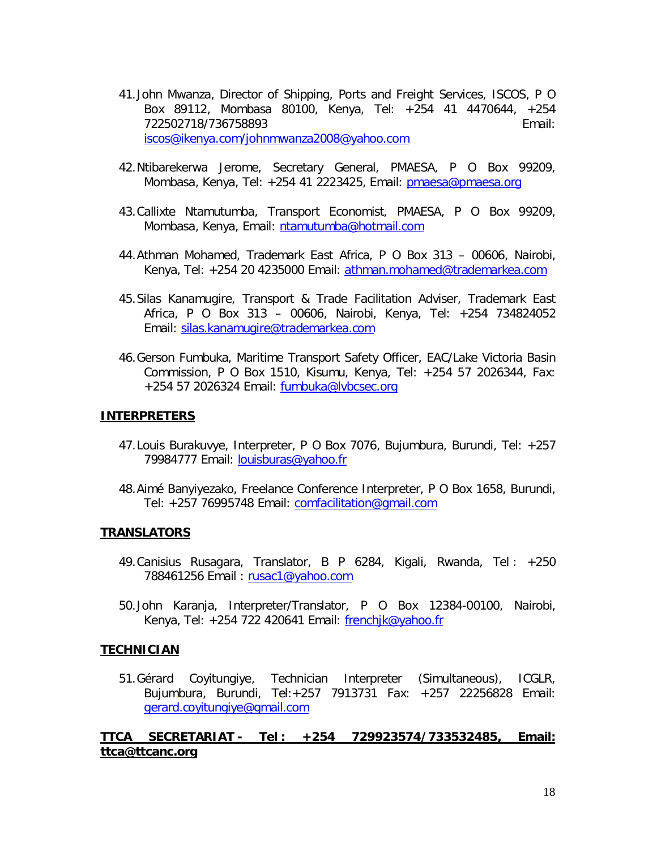- 41.John Mwanza, Director of Shipping, Ports and Freight Services, ISCOS, P O Box 89112, Mombasa 80100, Kenya, Tel: +254 41 4470644, +254 722502718/736758893 Email: iscos@ikenya.com/johnmwanza2008@yahoo.com
- 42.Ntibarekerwa Jerome, Secretary General, PMAESA, P O Box 99209, Mombasa, Kenya, Tel: +254 41 2223425, Email: pmaesa@pmaesa.org
- 43.Callixte Ntamutumba, Transport Economist, PMAESA, P O Box 99209, Mombasa, Kenya, Email: ntamutumba@hotmail.com
- 44.Athman Mohamed, Trademark East Africa, P O Box 313 00606, Nairobi, Kenya, Tel: +254 20 4235000 Email: athman.mohamed@trademarkea.com
- 45.Silas Kanamugire, Transport & Trade Facilitation Adviser, Trademark East Africa, P O Box 313 – 00606, Nairobi, Kenya, Tel: +254 734824052 Email: silas.kanamugire@trademarkea.com
- 46.Gerson Fumbuka, Maritime Transport Safety Officer, EAC/Lake Victoria Basin Commission, P O Box 1510, Kisumu, Kenya, Tel: +254 57 2026344, Fax: +254 57 2026324 Email: fumbuka@lvbcsec.org

#### **INTERPRETERS**

- 47.Louis Burakuvye, Interpreter, P O Box 7076, Bujumbura, Burundi, Tel: +257 79984777 Email: louisburas@yahoo.fr
- 48.Aimé Banyiyezako, Freelance Conference Interpreter, P O Box 1658, Burundi, Tel: +257 76995748 Email: comfacilitation@gmail.com

#### **TRANSLATORS**

- 49.Canisius Rusagara, Translator, B P 6284, Kigali, Rwanda, Tel : +250 788461256 Email : rusac1@yahoo.com
- 50.John Karanja, Interpreter/Translator, P O Box 12384-00100, Nairobi, Kenya, Tel: +254 722 420641 Email: frenchjk@yahoo.fr

#### **TECHNICIAN**

51.Gérard Coyitungiye, Technician Interpreter (Simultaneous), ICGLR, Bujumbura, Burundi, Tel:+257 7913731 Fax: +257 22256828 Email: gerard.coyitungiye@gmail.com

#### **TTCA SECRETARIAT - Tel : +254 729923574/733532485, Email: ttca@ttcanc.org**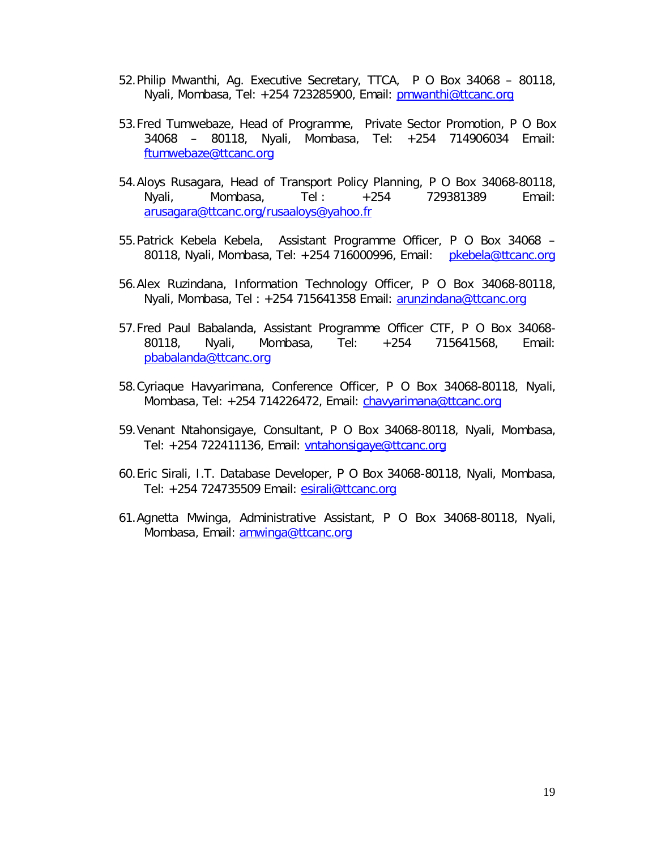- 52.Philip Mwanthi, Ag. Executive Secretary, TTCA, P O Box 34068 80118, Nyali, Mombasa, Tel: +254 723285900, Email: pmwanthi@ttcanc.org
- 53.Fred Tumwebaze, Head of Programme, Private Sector Promotion, P O Box 34068 – 80118, Nyali, Mombasa, Tel: +254 714906034 Email: ftumwebaze@ttcanc.org
- 54.Aloys Rusagara, Head of Transport Policy Planning, P O Box 34068-80118, Nyali, Mombasa, Tel : +254 729381389 Email: arusagara@ttcanc.org/rusaaloys@yahoo.fr
- 55.Patrick Kebela Kebela, Assistant Programme Officer, P O Box 34068 80118, Nyali, Mombasa, Tel: +254 716000996, Email: pkebela@ttcanc.org
- 56.Alex Ruzindana, Information Technology Officer, P O Box 34068-80118, Nyali, Mombasa, Tel: +254 715641358 Email: arunzindana@ttcanc.org
- 57.Fred Paul Babalanda, Assistant Programme Officer CTF, P O Box 34068- 80118, Nyali, Mombasa, Tel: +254 715641568, Email: pbabalanda@ttcanc.org
- 58.Cyriaque Havyarimana, Conference Officer, P O Box 34068-80118, Nyali, Mombasa, Tel: +254 714226472, Email: chavyarimana@ttcanc.org
- 59.Venant Ntahonsigaye, Consultant, P O Box 34068-80118, Nyali, Mombasa, Tel: +254 722411136, Email: vntahonsigaye@ttcanc.org
- 60.Eric Sirali, I.T. Database Developer, P O Box 34068-80118, Nyali, Mombasa, Tel: +254 724735509 Email: esirali@ttcanc.org
- 61.Agnetta Mwinga, Administrative Assistant, P O Box 34068-80118, Nyali, Mombasa, Email: amwinga@ttcanc.org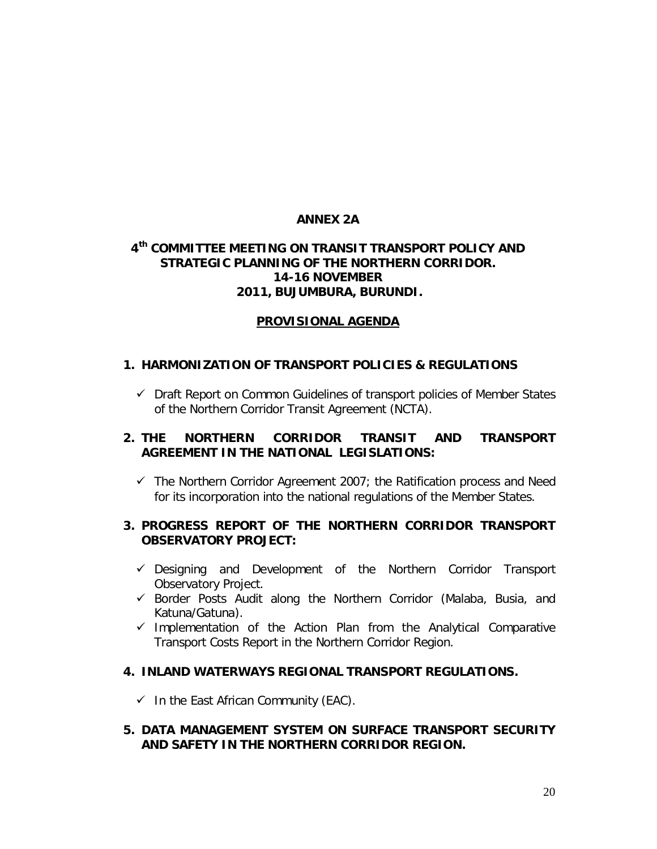## **ANNEX 2A**

#### **4 th COMMITTEE MEETING ON TRANSIT TRANSPORT POLICY AND STRATEGIC PLANNING OF THE NORTHERN CORRIDOR. 14-16 NOVEMBER 2011, BUJUMBURA, BURUNDI.**

#### **PROVISIONAL AGENDA**

#### **1. HARMONIZATION OF TRANSPORT POLICIES & REGULATIONS**

 $\checkmark$  Draft Report on Common Guidelines of transport policies of Member States of the Northern Corridor Transit Agreement (NCTA).

## **2. THE NORTHERN CORRIDOR TRANSIT AND TRANSPORT AGREEMENT IN THE NATIONAL LEGISLATIONS:**

 $\checkmark$  The Northern Corridor Agreement 2007; the Ratification process and Need for its incorporation into the national regulations of the Member States.

#### **3. PROGRESS REPORT OF THE NORTHERN CORRIDOR TRANSPORT OBSERVATORY PROJECT:**

- Designing and Development of the Northern Corridor Transport Observatory Project.
- $\checkmark$  Border Posts Audit along the Northern Corridor (Malaba, Busia, and Katuna/Gatuna).
- $\checkmark$  Implementation of the Action Plan from the Analytical Comparative Transport Costs Report in the Northern Corridor Region.

#### **4. INLAND WATERWAYS REGIONAL TRANSPORT REGULATIONS.**

 $\checkmark$  In the East African Community (EAC).

**5. DATA MANAGEMENT SYSTEM ON SURFACE TRANSPORT SECURITY AND SAFETY IN THE NORTHERN CORRIDOR REGION.**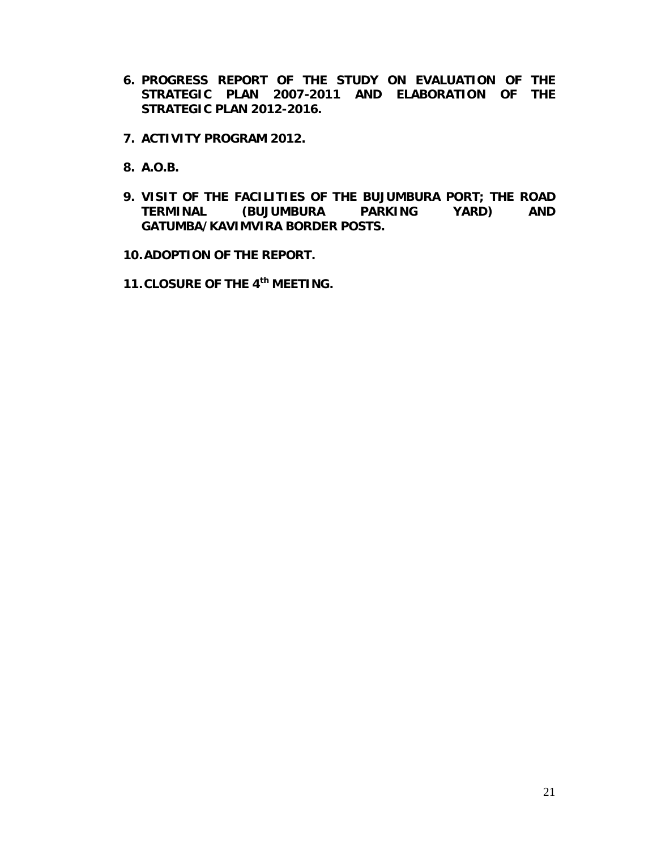- **6. PROGRESS REPORT OF THE STUDY ON EVALUATION OF THE STRATEGIC PLAN 2007-2011 AND ELABORATION OF THE STRATEGIC PLAN 2012-2016.**
- **7. ACTIVITY PROGRAM 2012.**
- **8. A.O.B.**
- **9. VISIT OF THE FACILITIES OF THE BUJUMBURA PORT; THE ROAD TERMINAL (BUJUMBURA PARKING YARD) AND GATUMBA/KAVIMVIRA BORDER POSTS.**

**10.ADOPTION OF THE REPORT.**

**11.CLOSURE OF THE 4th MEETING.**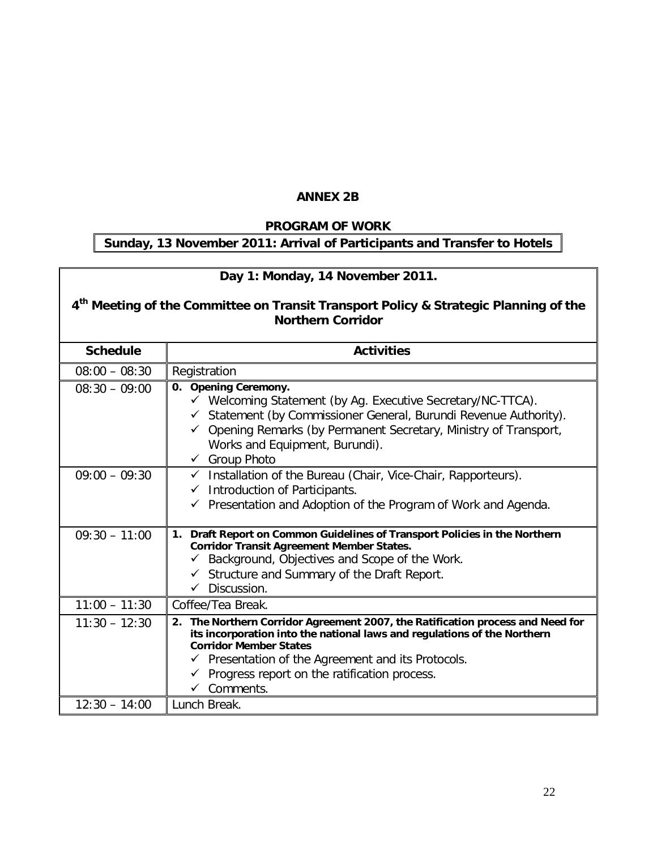### **ANNEX 2B**

#### *PROGRAM OF WORK*

## **Sunday, 13 November 2011: Arrival of Participants and Transfer to Hotels**

# **Day 1: Monday, 14 November 2011.**

#### **4 th Meeting of the Committee on Transit Transport Policy & Strategic Planning of the Northern Corridor**

| <b>Schedule</b> | <b>Activities</b>                                                                                                                                                                                                                                                                                                                      |
|-----------------|----------------------------------------------------------------------------------------------------------------------------------------------------------------------------------------------------------------------------------------------------------------------------------------------------------------------------------------|
| $08:00 - 08:30$ | Registration                                                                                                                                                                                                                                                                                                                           |
| $08:30 - 09:00$ | 0. Opening Ceremony.<br>✓ Welcoming Statement (by Ag. Executive Secretary/NC-TTCA).<br>Statement (by Commissioner General, Burundi Revenue Authority).<br>Opening Remarks (by Permanent Secretary, Ministry of Transport,<br>Works and Equipment, Burundi).<br>← Group Photo                                                           |
| $09:00 - 09:30$ | $\checkmark$ Installation of the Bureau (Chair, Vice-Chair, Rapporteurs).<br>Introduction of Participants.<br>$\checkmark$<br>Presentation and Adoption of the Program of Work and Agenda.<br>$\checkmark$                                                                                                                             |
| $09:30 - 11:00$ | Draft Report on Common Guidelines of Transport Policies in the Northern<br>1.<br><b>Corridor Transit Agreement Member States.</b><br>Background, Objectives and Scope of the Work.<br>Structure and Summary of the Draft Report.<br>$\checkmark$<br>Discussion.                                                                        |
| $11:00 - 11:30$ | Coffee/Tea Break.                                                                                                                                                                                                                                                                                                                      |
| $11:30 - 12:30$ | 2. The Northern Corridor Agreement 2007, the Ratification process and Need for<br>its incorporation into the national laws and regulations of the Northern<br><b>Corridor Member States</b><br>$\checkmark$ Presentation of the Agreement and its Protocols.<br>$\checkmark$ Progress report on the ratification process.<br>Comments. |
| $12:30 - 14:00$ | Lunch Break.                                                                                                                                                                                                                                                                                                                           |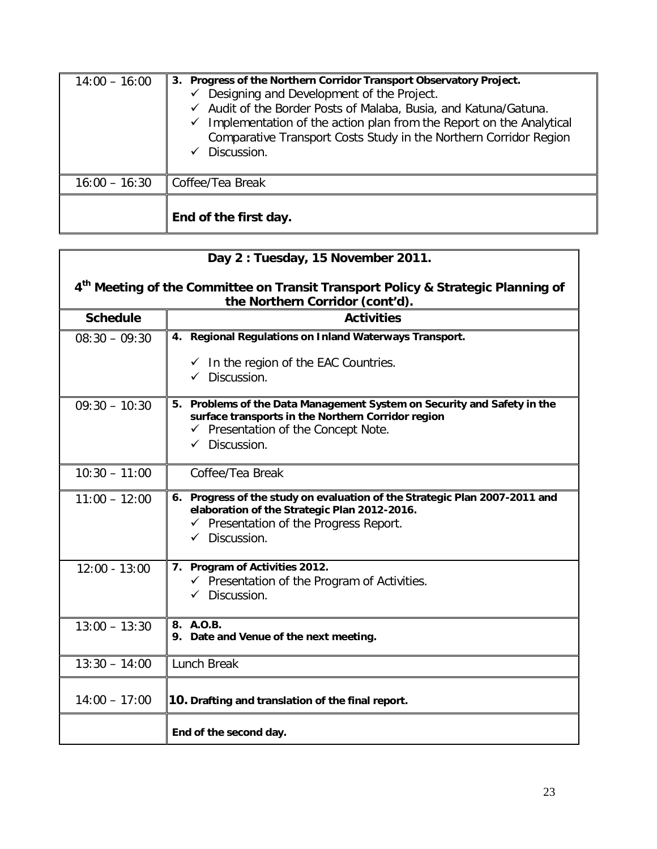| $14:00 - 16:00$ | 3. Progress of the Northern Corridor Transport Observatory Project.<br>Designing and Development of the Project.<br>✓<br>✓ Audit of the Border Posts of Malaba, Busia, and Katuna/Gatuna.<br>Implementation of the action plan from the Report on the Analytical<br>$\checkmark$<br>Comparative Transport Costs Study in the Northern Corridor Region<br>Discussion.<br>$\checkmark$ |
|-----------------|--------------------------------------------------------------------------------------------------------------------------------------------------------------------------------------------------------------------------------------------------------------------------------------------------------------------------------------------------------------------------------------|
| $16:00 - 16:30$ | Coffee/Tea Break                                                                                                                                                                                                                                                                                                                                                                     |
|                 | End of the first day.                                                                                                                                                                                                                                                                                                                                                                |

| Day 2: Tuesday, 15 November 2011.                                                                                               |                                                                                                                                                                                                             |  |  |  |  |  |
|---------------------------------------------------------------------------------------------------------------------------------|-------------------------------------------------------------------------------------------------------------------------------------------------------------------------------------------------------------|--|--|--|--|--|
| 4 <sup>th</sup> Meeting of the Committee on Transit Transport Policy & Strategic Planning of<br>the Northern Corridor (cont'd). |                                                                                                                                                                                                             |  |  |  |  |  |
| <b>Schedule</b>                                                                                                                 | <b>Activities</b>                                                                                                                                                                                           |  |  |  |  |  |
| $08:30 - 09:30$                                                                                                                 | 4. Regional Regulations on Inland Waterways Transport.                                                                                                                                                      |  |  |  |  |  |
|                                                                                                                                 | $\checkmark$ In the region of the EAC Countries.<br>$\checkmark$ Discussion.                                                                                                                                |  |  |  |  |  |
| $09:30 - 10:30$                                                                                                                 | 5. Problems of the Data Management System on Security and Safety in the<br>surface transports in the Northern Corridor region<br>$\checkmark$ Presentation of the Concept Note.<br>$\checkmark$ Discussion. |  |  |  |  |  |
| $10:30 - 11:00$                                                                                                                 | Coffee/Tea Break                                                                                                                                                                                            |  |  |  |  |  |
| $11:00 - 12:00$                                                                                                                 | 6. Progress of the study on evaluation of the Strategic Plan 2007-2011 and<br>elaboration of the Strategic Plan 2012-2016.<br>$\checkmark$ Presentation of the Progress Report.<br>$\checkmark$ Discussion. |  |  |  |  |  |
| $12:00 - 13:00$                                                                                                                 | 7. Program of Activities 2012.<br>← Presentation of the Program of Activities.<br>$\checkmark$ Discussion.                                                                                                  |  |  |  |  |  |
| $13:00 - 13:30$                                                                                                                 | 8. A.O.B.<br>9. Date and Venue of the next meeting.                                                                                                                                                         |  |  |  |  |  |
| $13:30 - 14:00$                                                                                                                 | <b>Lunch Break</b>                                                                                                                                                                                          |  |  |  |  |  |
| $14:00 - 17:00$                                                                                                                 | 10. Drafting and translation of the final report.                                                                                                                                                           |  |  |  |  |  |
|                                                                                                                                 | End of the second day.                                                                                                                                                                                      |  |  |  |  |  |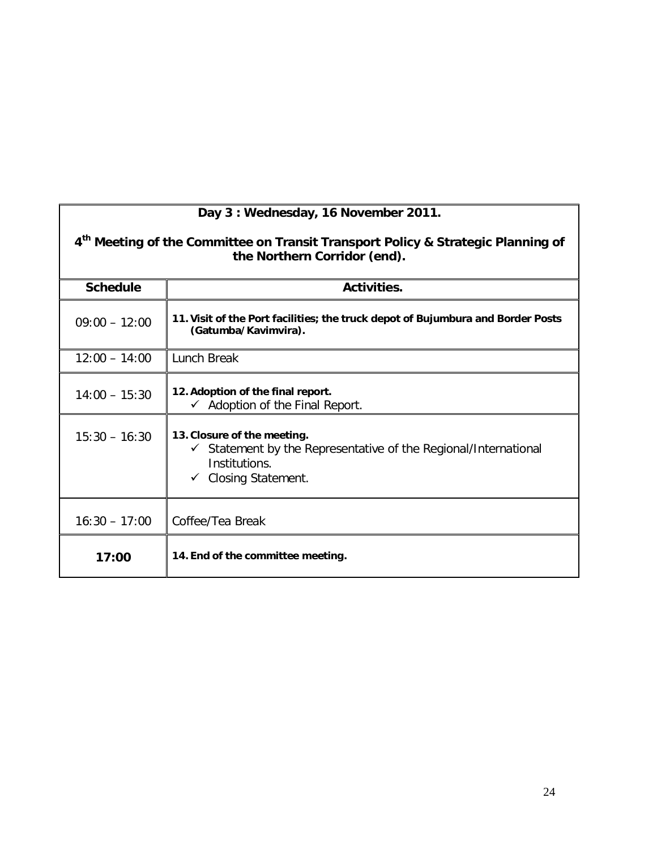|                 | 4 <sup>th</sup> Meeting of the Committee on Transit Transport Policy & Strategic Planning of<br>the Northern Corridor (end).                                  |
|-----------------|---------------------------------------------------------------------------------------------------------------------------------------------------------------|
| <b>Schedule</b> | Activities.                                                                                                                                                   |
| $09:00 - 12:00$ | 11. Visit of the Port facilities; the truck depot of Bujumbura and Border Posts<br>(Gatumba/Kavimvira).                                                       |
| $12:00 - 14:00$ | Lunch Break                                                                                                                                                   |
| $14:00 - 15:30$ | 12. Adoption of the final report.<br>$\checkmark$ Adoption of the Final Report.                                                                               |
| $15:30 - 16:30$ | 13. Closure of the meeting.<br>$\checkmark$ Statement by the Representative of the Regional/International<br>Institutions.<br>$\checkmark$ Closing Statement. |
| $16:30 - 17:00$ | Coffee/Tea Break                                                                                                                                              |
| 17:00           | 14. End of the committee meeting.                                                                                                                             |

## **Day 3 : Wednesday, 16 November 2011.**

 $\mathbf l$ 

 $\mathbf l$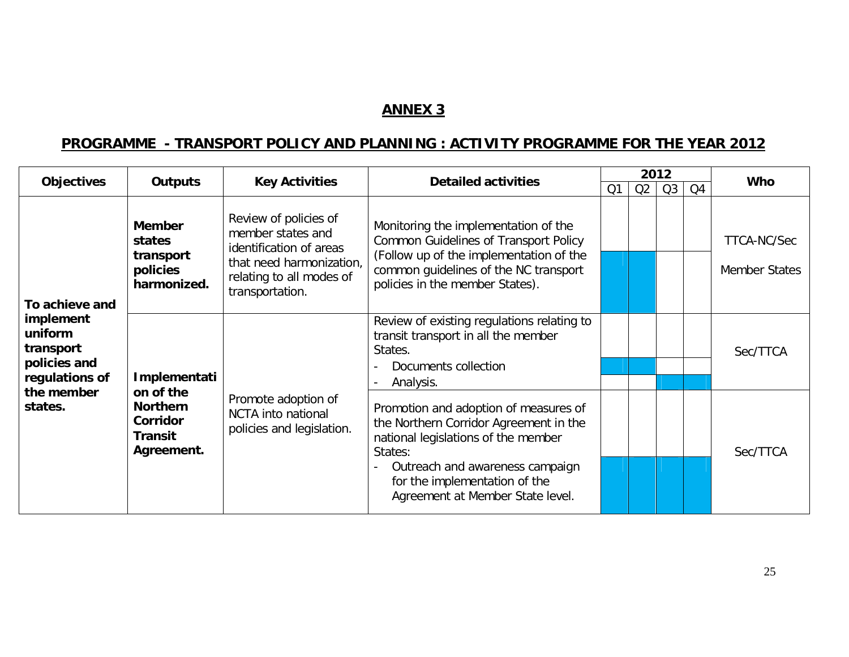## **ANNEX 3**

## **PROGRAMME - TRANSPORT POLICY AND PLANNING : ACTIVITY PROGRAMME FOR THE YEAR 2012**

| <b>Objectives</b>                                                                                              | <b>Outputs</b>                                                    | <b>Key Activities</b>                                                                                                                            | <b>Detailed activities</b>                                                                                                                                                                                                                | 2012 |    |                |                | <b>Who</b>                          |
|----------------------------------------------------------------------------------------------------------------|-------------------------------------------------------------------|--------------------------------------------------------------------------------------------------------------------------------------------------|-------------------------------------------------------------------------------------------------------------------------------------------------------------------------------------------------------------------------------------------|------|----|----------------|----------------|-------------------------------------|
|                                                                                                                |                                                                   |                                                                                                                                                  |                                                                                                                                                                                                                                           | Q1   | Q2 | Q <sub>3</sub> | Q <sub>4</sub> |                                     |
| To achieve and<br>implement<br>uniform<br>transport<br>policies and<br>regulations of<br>the member<br>states. | <b>Member</b><br>states<br>transport<br>policies<br>harmonized.   | Review of policies of<br>member states and<br>identification of areas<br>that need harmonization,<br>relating to all modes of<br>transportation. | Monitoring the implementation of the<br><b>Common Guidelines of Transport Policy</b><br>(Follow up of the implementation of the<br>common guidelines of the NC transport<br>policies in the member States).                               |      |    |                |                | TTCA-NC/Sec<br><b>Member States</b> |
|                                                                                                                | Implementati                                                      |                                                                                                                                                  | Review of existing regulations relating to<br>transit transport in all the member<br>States.<br>Documents collection<br>Analysis.                                                                                                         |      |    |                |                | Sec/TTCA                            |
|                                                                                                                | on of the<br><b>Northern</b><br>Corridor<br>Transit<br>Agreement. | Promote adoption of<br>NCTA into national<br>policies and legislation.                                                                           | Promotion and adoption of measures of<br>the Northern Corridor Agreement in the<br>national legislations of the member<br>States:<br>Outreach and awareness campaign<br>for the implementation of the<br>Agreement at Member State level. |      |    |                |                | Sec/TTCA                            |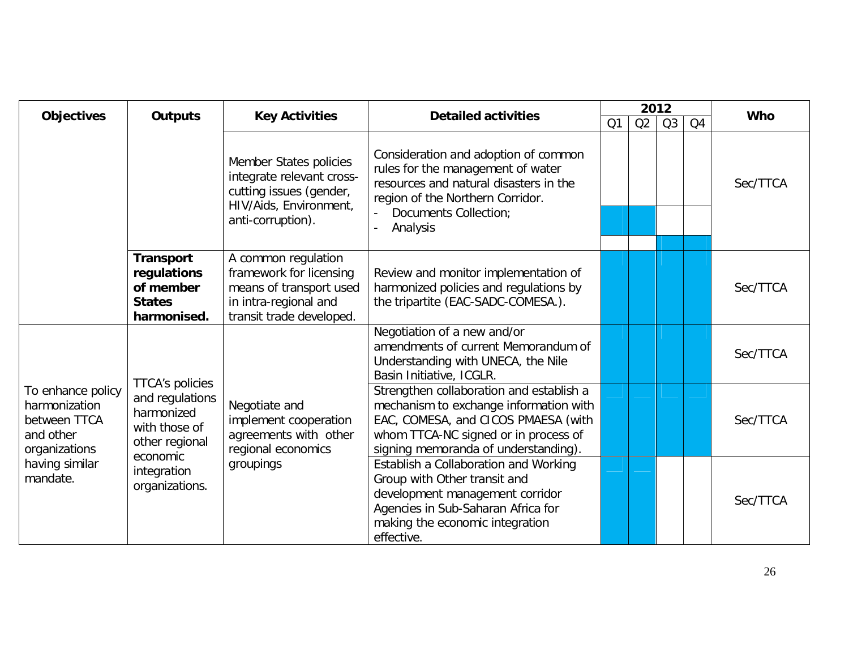| <b>Objectives</b>                                                                                              | <b>Outputs</b>                                                                                                                          | <b>Detailed activities</b><br><b>Key Activities</b>                                                                            |                                                                                                                                                                                                           | 2012 |    |    | <b>Who</b> |          |
|----------------------------------------------------------------------------------------------------------------|-----------------------------------------------------------------------------------------------------------------------------------------|--------------------------------------------------------------------------------------------------------------------------------|-----------------------------------------------------------------------------------------------------------------------------------------------------------------------------------------------------------|------|----|----|------------|----------|
|                                                                                                                |                                                                                                                                         |                                                                                                                                |                                                                                                                                                                                                           | Q1   | Q2 | Q3 | Q4         |          |
|                                                                                                                |                                                                                                                                         | Member States policies<br>integrate relevant cross-<br>cutting issues (gender,<br>HIV/Aids, Environment,<br>anti-corruption).  | Consideration and adoption of common<br>rules for the management of water<br>resources and natural disasters in the<br>region of the Northern Corridor.<br>Documents Collection;<br>Analysis              |      |    |    |            | Sec/TTCA |
|                                                                                                                | <b>Transport</b><br>regulations<br>of member<br><b>States</b><br>harmonised.                                                            | A common regulation<br>framework for licensing<br>means of transport used<br>in intra-regional and<br>transit trade developed. | Review and monitor implementation of<br>harmonized policies and regulations by<br>the tripartite (EAC-SADC-COMESA.).                                                                                      |      |    |    |            | Sec/TTCA |
| To enhance policy<br>harmonization<br>between TTCA<br>and other<br>organizations<br>having similar<br>mandate. | <b>TTCA's policies</b><br>and regulations<br>harmonized<br>with those of<br>other regional<br>economic<br>integration<br>organizations. |                                                                                                                                | Negotiation of a new and/or<br>amendments of current Memorandum of<br>Understanding with UNECA, the Nile<br>Basin Initiative, ICGLR.                                                                      |      |    |    |            | Sec/TTCA |
|                                                                                                                |                                                                                                                                         | Negotiate and<br>implement cooperation<br>agreements with other<br>regional economics                                          | Strengthen collaboration and establish a<br>mechanism to exchange information with<br>EAC, COMESA, and CICOS PMAESA (with<br>whom TTCA-NC signed or in process of<br>signing memoranda of understanding). |      |    |    |            | Sec/TTCA |
|                                                                                                                |                                                                                                                                         | groupings                                                                                                                      | Establish a Collaboration and Working<br>Group with Other transit and<br>development management corridor<br>Agencies in Sub-Saharan Africa for<br>making the economic integration<br>effective.           |      |    |    |            | Sec/TTCA |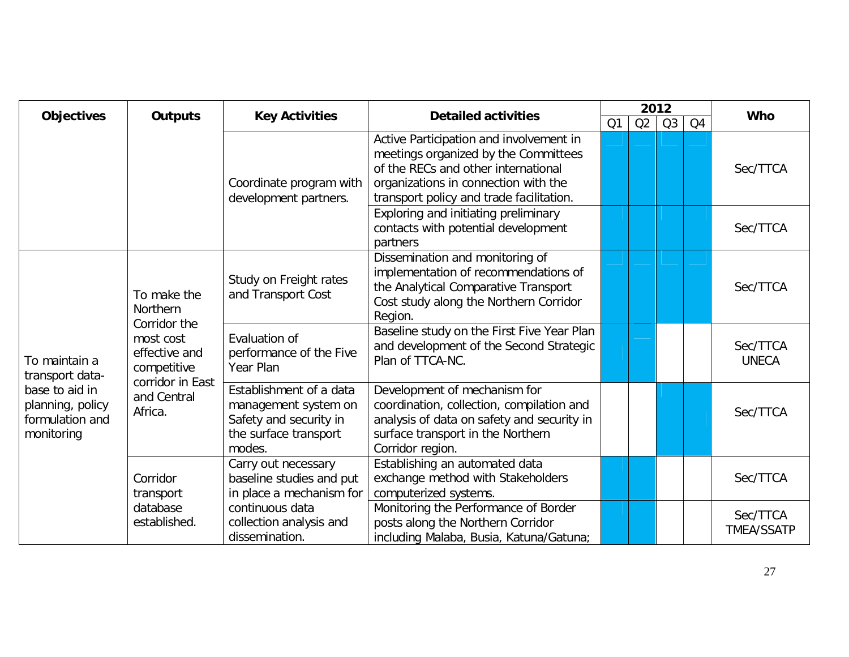| Objectives                                                                                              | <b>Outputs</b>                                                                                                                                              | <b>Key Activities</b>                                                                                        | <b>Detailed activities</b>                                                                                                                                                                                 | 2012           |                |    |          | <b>Who</b>                    |
|---------------------------------------------------------------------------------------------------------|-------------------------------------------------------------------------------------------------------------------------------------------------------------|--------------------------------------------------------------------------------------------------------------|------------------------------------------------------------------------------------------------------------------------------------------------------------------------------------------------------------|----------------|----------------|----|----------|-------------------------------|
|                                                                                                         |                                                                                                                                                             |                                                                                                              | Q1                                                                                                                                                                                                         | Q <sub>2</sub> | Q <sub>3</sub> | Q4 |          |                               |
|                                                                                                         |                                                                                                                                                             | Coordinate program with<br>development partners.                                                             | Active Participation and involvement in<br>meetings organized by the Committees<br>of the RECs and other international<br>organizations in connection with the<br>transport policy and trade facilitation. |                |                |    |          | Sec/TTCA                      |
|                                                                                                         |                                                                                                                                                             | Exploring and initiating preliminary<br>contacts with potential development<br>partners                      |                                                                                                                                                                                                            |                |                |    | Sec/TTCA |                               |
| To maintain a<br>transport data-<br>base to aid in<br>planning, policy<br>formulation and<br>monitoring | To make the<br>Northern<br>Corridor the<br>most cost<br>effective and<br>competitive<br>corridor in East<br>and Central<br>Africa.<br>Corridor<br>transport | Study on Freight rates<br>and Transport Cost                                                                 | Dissemination and monitoring of<br>implementation of recommendations of<br>the Analytical Comparative Transport<br>Cost study along the Northern Corridor<br>Region.                                       |                |                |    |          | Sec/TTCA                      |
|                                                                                                         |                                                                                                                                                             | Evaluation of<br>performance of the Five<br>Year Plan                                                        | Baseline study on the First Five Year Plan<br>and development of the Second Strategic<br>Plan of TTCA-NC.                                                                                                  |                |                |    |          | Sec/TTCA<br><b>UNECA</b>      |
|                                                                                                         |                                                                                                                                                             | Establishment of a data<br>management system on<br>Safety and security in<br>the surface transport<br>modes. | Development of mechanism for<br>coordination, collection, compilation and<br>analysis of data on safety and security in<br>surface transport in the Northern<br>Corridor region.                           |                |                |    |          | Sec/TTCA                      |
|                                                                                                         |                                                                                                                                                             | Carry out necessary<br>baseline studies and put<br>in place a mechanism for                                  | Establishing an automated data<br>exchange method with Stakeholders<br>computerized systems.                                                                                                               |                |                |    |          | Sec/TTCA                      |
|                                                                                                         | database<br>established.                                                                                                                                    | continuous data<br>collection analysis and<br>dissemination.                                                 | Monitoring the Performance of Border<br>posts along the Northern Corridor<br>including Malaba, Busia, Katuna/Gatuna;                                                                                       |                |                |    |          | Sec/TTCA<br><b>TMEA/SSATP</b> |